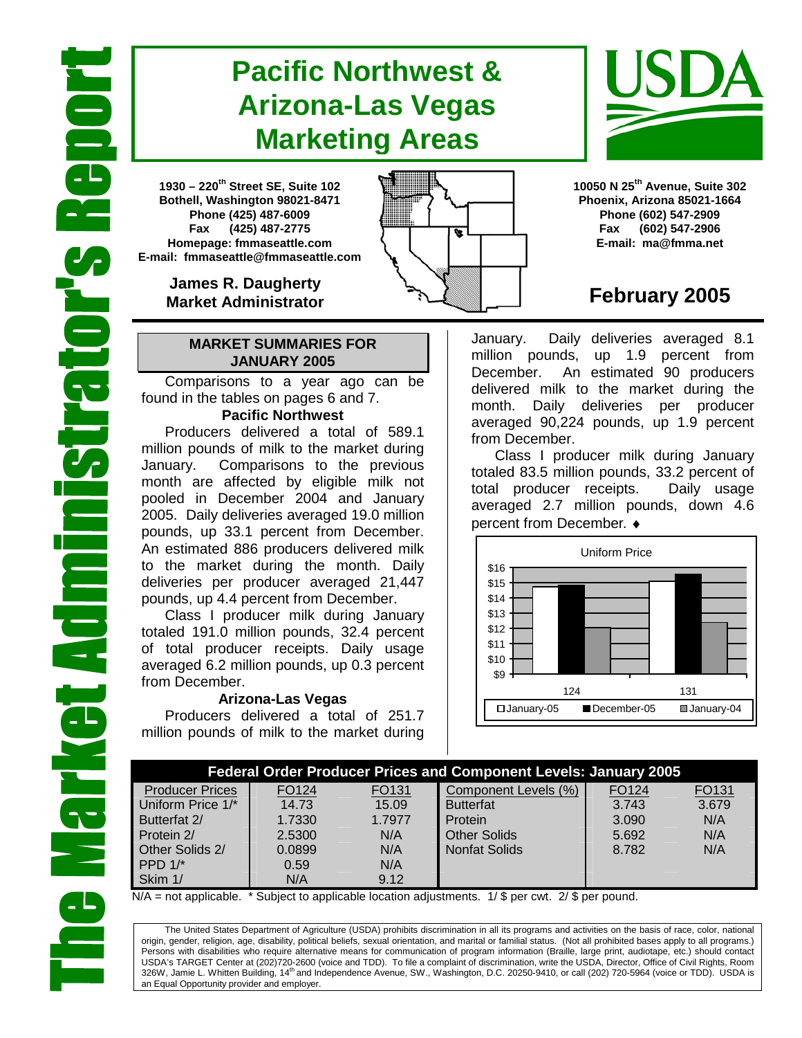# **Pacific Northwest & Arizona-Las Vegas Marketing Areas**

**1930 – 220th Street SE, Suite 102 Bothell, Washington 98021-8471 Phone (425) 487-6009 Fax (425) 487-2775 Homepage: fmmaseattle.com E-mail: fmmaseattle@fmmaseattle.com**

> **James R. Daugherty Market Administrator**

### **MARKET SUMMARIES FOR JANUARY 2005**

 Comparisons to a year ago can be found in the tables on pages 6 and 7.

### **Pacific Northwest**

Producers delivered a total of 589.1 million pounds of milk to the market during January. Comparisons to the previous month are affected by eligible milk not pooled in December 2004 and January 2005. Daily deliveries averaged 19.0 million pounds, up 33.1 percent from December. An estimated 886 producers delivered milk to the market during the month. Daily deliveries per producer averaged 21,447 pounds, up 4.4 percent from December.

Class I producer milk during January totaled 191.0 million pounds, 32.4 percent of total producer receipts. Daily usage averaged 6.2 million pounds, up 0.3 percent from December.

### **Arizona-Las Vegas**

Producers delivered a total of 251.7 million pounds of milk to the market during **10050 N 25th Avenue, Suite 302 Phoenix, Arizona 85021-1664 Phone (602) 547-2909 Fax (602) 547-2906 E-mail: ma@fmma.net**

## **February 2005**

January. Daily deliveries averaged 8.1 million pounds, up 1.9 percent from December. An estimated 90 producers delivered milk to the market during the month. Daily deliveries per producer averaged 90,224 pounds, up 1.9 percent from December.

Class I producer milk during January totaled 83.5 million pounds, 33.2 percent of total producer receipts. Daily usage averaged 2.7 million pounds, down 4.6 percent from December. ♦



|                        | <b>Federal Order Producer Prices and Component Levels: January 2005</b> |        |                      |                   |       |  |  |  |  |  |  |  |
|------------------------|-------------------------------------------------------------------------|--------|----------------------|-------------------|-------|--|--|--|--|--|--|--|
| <b>Producer Prices</b> | FO124                                                                   | FO131  | Component Levels (%) | FO <sub>124</sub> | FO131 |  |  |  |  |  |  |  |
| Uniform Price 1/*      | 14.73                                                                   | 15.09  | <b>Butterfat</b>     | 3.743             | 3.679 |  |  |  |  |  |  |  |
| Butterfat 2/           | 1.7330                                                                  | 1.7977 | Protein              | 3.090             | N/A   |  |  |  |  |  |  |  |
| Protein 2/             | 2.5300                                                                  | N/A    | <b>Other Solids</b>  | 5.692             | N/A   |  |  |  |  |  |  |  |
| Other Solids 2/        | 0.0899                                                                  | N/A    | <b>Nonfat Solids</b> | 8.782             | N/A   |  |  |  |  |  |  |  |
| PPD $1/*$              | 0.59                                                                    | N/A    |                      |                   |       |  |  |  |  |  |  |  |
| Skim 1/                | N/A                                                                     | 9.12   |                      |                   |       |  |  |  |  |  |  |  |

 $N/A$  = not applicable. \* Subject to applicable location adjustments. 1/ \$ per cwt. 2/ \$ per pound.

The United States Department of Agriculture (USDA) prohibits discrimination in all its programs and activities on the basis of race, color, national origin, gender, religion, age, disability, political beliefs, sexual orientation, and marital or familial status. (Not all prohibited bases apply to all programs.) Persons with disabilities who require alternative means for communication of program information (Braille, large print, audiotape, etc.) should contact USDA's TARGET Center at (202)720-2600 (voice and TDD). To file a complaint of discrimination, write the USDA, Director, Office of Civil Rights, Room 326W, Jamie L. Whitten Building, 14<sup>th</sup> and Independence Avenue, SW., Washington, D.C. 20250-9410, or call (202) 720-5964 (voice or TDD). USDA is an Equal Opportunity provider and employer.



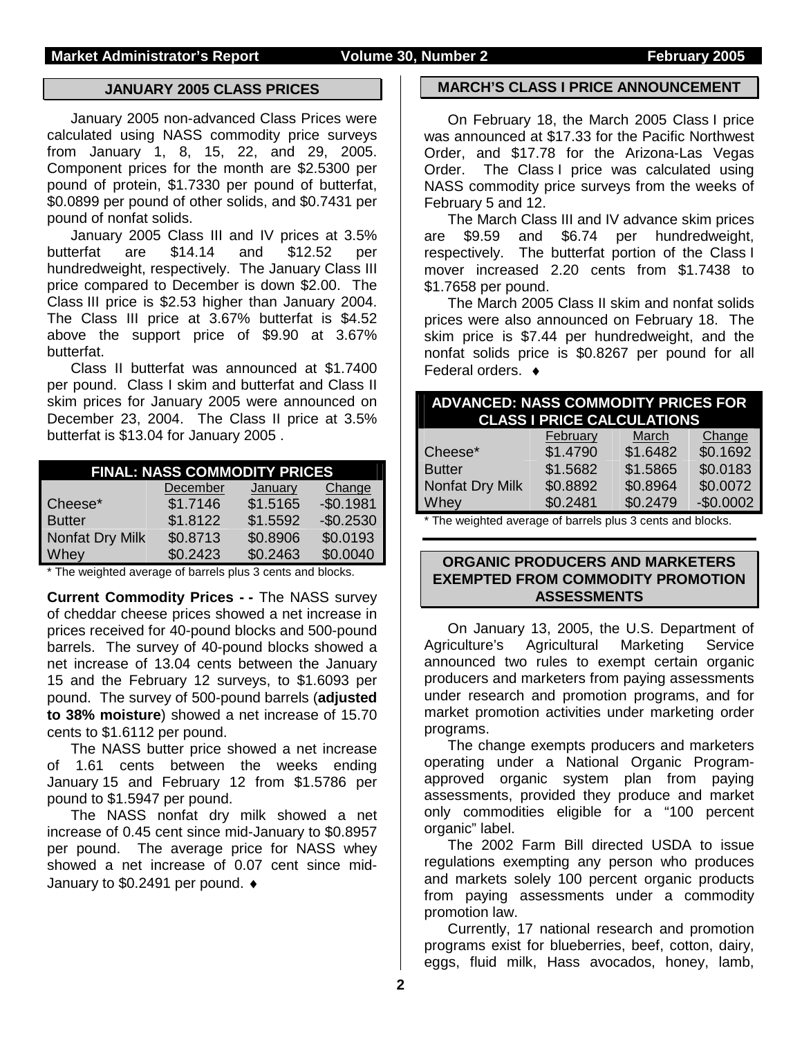### **JANUARY 2005 CLASS PRICES**

January 2005 non-advanced Class Prices were calculated using NASS commodity price surveys from January 1, 8, 15, 22, and 29, 2005. Component prices for the month are \$2.5300 per pound of protein, \$1.7330 per pound of butterfat, \$0.0899 per pound of other solids, and \$0.7431 per pound of nonfat solids.

 January 2005 Class III and IV prices at 3.5% butterfat are \$14.14 and \$12.52 per hundredweight, respectively. The January Class III price compared to December is down \$2.00. The Class III price is \$2.53 higher than January 2004. The Class III price at 3.67% butterfat is \$4.52 above the support price of \$9.90 at 3.67% butterfat.

Class II butterfat was announced at \$1.7400 per pound. Class I skim and butterfat and Class II skim prices for January 2005 were announced on December 23, 2004. The Class II price at 3.5% butterfat is \$13.04 for January 2005 .

|                 | <b>FINAL: NASS COMMODITY PRICES</b> |          |            |
|-----------------|-------------------------------------|----------|------------|
|                 | December                            | January  | Change     |
| Cheese*         | \$1.7146                            | \$1.5165 | $-$0.1981$ |
| <b>Butter</b>   | \$1.8122                            | \$1.5592 | $-$0.2530$ |
| Nonfat Dry Milk | \$0.8713                            | \$0.8906 | \$0.0193   |
| Whey            | \$0.2423                            | \$0.2463 | \$0.0040   |

\* The weighted average of barrels plus 3 cents and blocks.

**Current Commodity Prices - -** The NASS survey of cheddar cheese prices showed a net increase in prices received for 40-pound blocks and 500-pound barrels. The survey of 40-pound blocks showed a net increase of 13.04 cents between the January 15 and the February 12 surveys, to \$1.6093 per pound. The survey of 500-pound barrels (**adjusted to 38% moisture**) showed a net increase of 15.70 cents to \$1.6112 per pound.

The NASS butter price showed a net increase of 1.61 cents between the weeks ending January 15 and February 12 from \$1.5786 per pound to \$1.5947 per pound.

The NASS nonfat dry milk showed a net increase of 0.45 cent since mid-January to \$0.8957 per pound. The average price for NASS whey showed a net increase of 0.07 cent since mid-January to \$0.2491 per pound. ♦

### **MARCH'S CLASS I PRICE ANNOUNCEMENT**

 On February 18, the March 2005 Class I price was announced at \$17.33 for the Pacific Northwest Order, and \$17.78 for the Arizona-Las Vegas Order. The Class I price was calculated using NASS commodity price surveys from the weeks of February 5 and 12.

 The March Class III and IV advance skim prices are \$9.59 and \$6.74 per hundredweight, respectively. The butterfat portion of the Class I mover increased 2.20 cents from \$1.7438 to \$1.7658 per pound.

 The March 2005 Class II skim and nonfat solids prices were also announced on February 18. The skim price is \$7.44 per hundredweight, and the nonfat solids price is \$0.8267 per pound for all Federal orders. ♦

|                                                           | <b>ADVANCED: NASS COMMODITY PRICES FOR</b><br><b>CLASS I PRICE CALCULATIONS</b> |          |            |  |  |  |  |  |  |  |
|-----------------------------------------------------------|---------------------------------------------------------------------------------|----------|------------|--|--|--|--|--|--|--|
|                                                           | February                                                                        | March    | Change     |  |  |  |  |  |  |  |
| Cheese*                                                   | \$1.4790                                                                        | \$1.6482 | \$0.1692   |  |  |  |  |  |  |  |
| <b>Butter</b>                                             | \$1.5682                                                                        | \$1.5865 | \$0.0183   |  |  |  |  |  |  |  |
| Nonfat Dry Milk                                           | \$0.8892                                                                        | \$0.8964 | \$0.0072   |  |  |  |  |  |  |  |
| Whey                                                      | \$0.2481                                                                        | \$0.2479 | $-$0.0002$ |  |  |  |  |  |  |  |
| * The weighted average of barrels plus 3 cents and blocks |                                                                                 |          |            |  |  |  |  |  |  |  |

I he weighted average of barrels plus 3 cents and blocks.

### **ORGANIC PRODUCERS AND MARKETERS EXEMPTED FROM COMMODITY PROMOTION ASSESSMENTS**

On January 13, 2005, the U.S. Department of Agriculture's Agricultural Marketing Service announced two rules to exempt certain organic producers and marketers from paying assessments under research and promotion programs, and for market promotion activities under marketing order programs.

The change exempts producers and marketers operating under a National Organic Programapproved organic system plan from paying assessments, provided they produce and market only commodities eligible for a "100 percent organic" label.

The 2002 Farm Bill directed USDA to issue regulations exempting any person who produces and markets solely 100 percent organic products from paying assessments under a commodity promotion law.

Currently, 17 national research and promotion programs exist for blueberries, beef, cotton, dairy, eggs, fluid milk, Hass avocados, honey, lamb,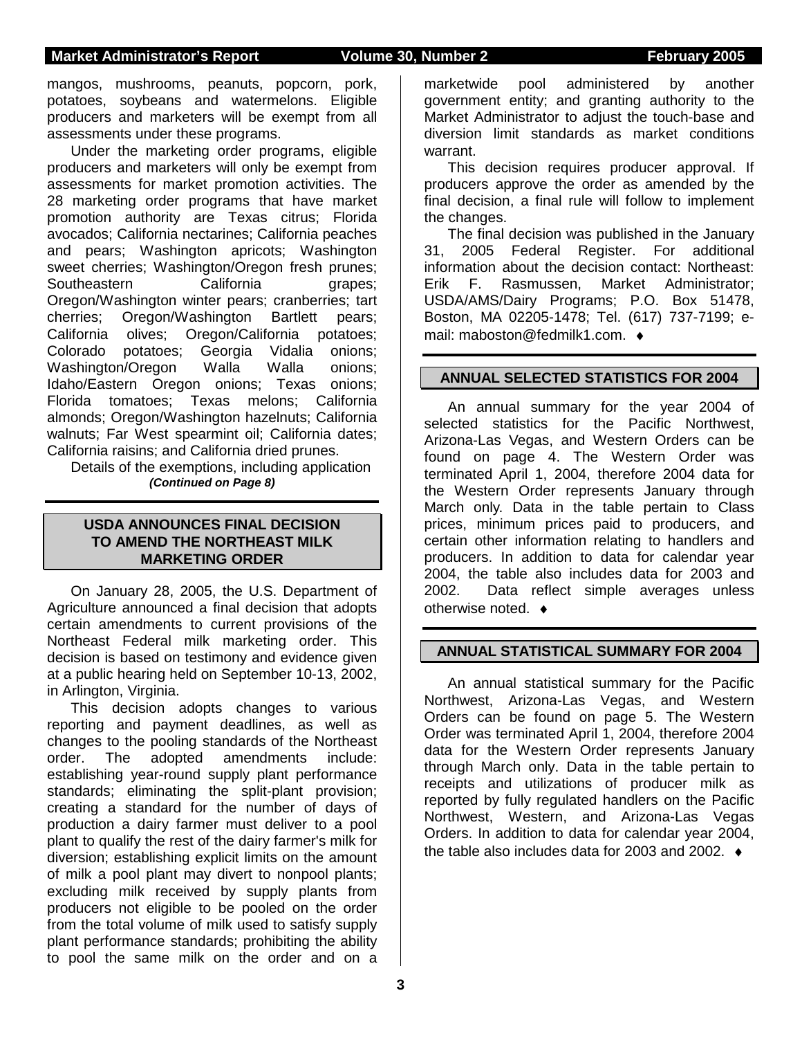## **Market Administrator's Report Volume 30, Number 2 February 2005**

mangos, mushrooms, peanuts, popcorn, pork, potatoes, soybeans and watermelons. Eligible producers and marketers will be exempt from all assessments under these programs.

Under the marketing order programs, eligible producers and marketers will only be exempt from assessments for market promotion activities. The 28 marketing order programs that have market promotion authority are Texas citrus; Florida avocados; California nectarines; California peaches and pears; Washington apricots; Washington sweet cherries; Washington/Oregon fresh prunes; Southeastern California grapes: Oregon/Washington winter pears; cranberries; tart cherries; Oregon/Washington Bartlett pears; California olives; Oregon/California potatoes; Colorado potatoes; Georgia Vidalia onions; Washington/Oregon Walla Walla onions; Idaho/Eastern Oregon onions; Texas onions; Florida tomatoes; Texas melons; California almonds; Oregon/Washington hazelnuts; California walnuts; Far West spearmint oil; California dates; California raisins; and California dried prunes.

Details of the exemptions, including application *(Continued on Page 8)*

### **USDA ANNOUNCES FINAL DECISION TO AMEND THE NORTHEAST MILK MARKETING ORDER**

On January 28, 2005, the U.S. Department of Agriculture announced a final decision that adopts certain amendments to current provisions of the Northeast Federal milk marketing order. This decision is based on testimony and evidence given at a public hearing held on September 10-13, 2002, in Arlington, Virginia.

This decision adopts changes to various reporting and payment deadlines, as well as changes to the pooling standards of the Northeast order. The adopted amendments include: establishing year-round supply plant performance standards; eliminating the split-plant provision; creating a standard for the number of days of production a dairy farmer must deliver to a pool plant to qualify the rest of the dairy farmer's milk for diversion; establishing explicit limits on the amount of milk a pool plant may divert to nonpool plants; excluding milk received by supply plants from producers not eligible to be pooled on the order from the total volume of milk used to satisfy supply plant performance standards; prohibiting the ability to pool the same milk on the order and on a

marketwide pool administered by another government entity; and granting authority to the Market Administrator to adjust the touch-base and diversion limit standards as market conditions warrant.

This decision requires producer approval. If producers approve the order as amended by the final decision, a final rule will follow to implement the changes.

The final decision was published in the January 31, 2005 Federal Register. For additional information about the decision contact: Northeast: Erik F. Rasmussen, Market Administrator; USDA/AMS/Dairy Programs; P.O. Box 51478, Boston, MA 02205-1478; Tel. (617) 737-7199; email: maboston@fedmilk1.com. ♦

### **ANNUAL SELECTED STATISTICS FOR 2004**

An annual summary for the year 2004 of selected statistics for the Pacific Northwest, Arizona-Las Vegas, and Western Orders can be found on page 4. The Western Order was terminated April 1, 2004, therefore 2004 data for the Western Order represents January through March only. Data in the table pertain to Class prices, minimum prices paid to producers, and certain other information relating to handlers and producers. In addition to data for calendar year 2004, the table also includes data for 2003 and 2002. Data reflect simple averages unless otherwise noted. ♦

### **ANNUAL STATISTICAL SUMMARY FOR 2004**

An annual statistical summary for the Pacific Northwest, Arizona-Las Vegas, and Western Orders can be found on page 5. The Western Order was terminated April 1, 2004, therefore 2004 data for the Western Order represents January through March only. Data in the table pertain to receipts and utilizations of producer milk as reported by fully regulated handlers on the Pacific Northwest, Western, and Arizona-Las Vegas Orders. In addition to data for calendar year 2004, the table also includes data for 2003 and 2002. ♦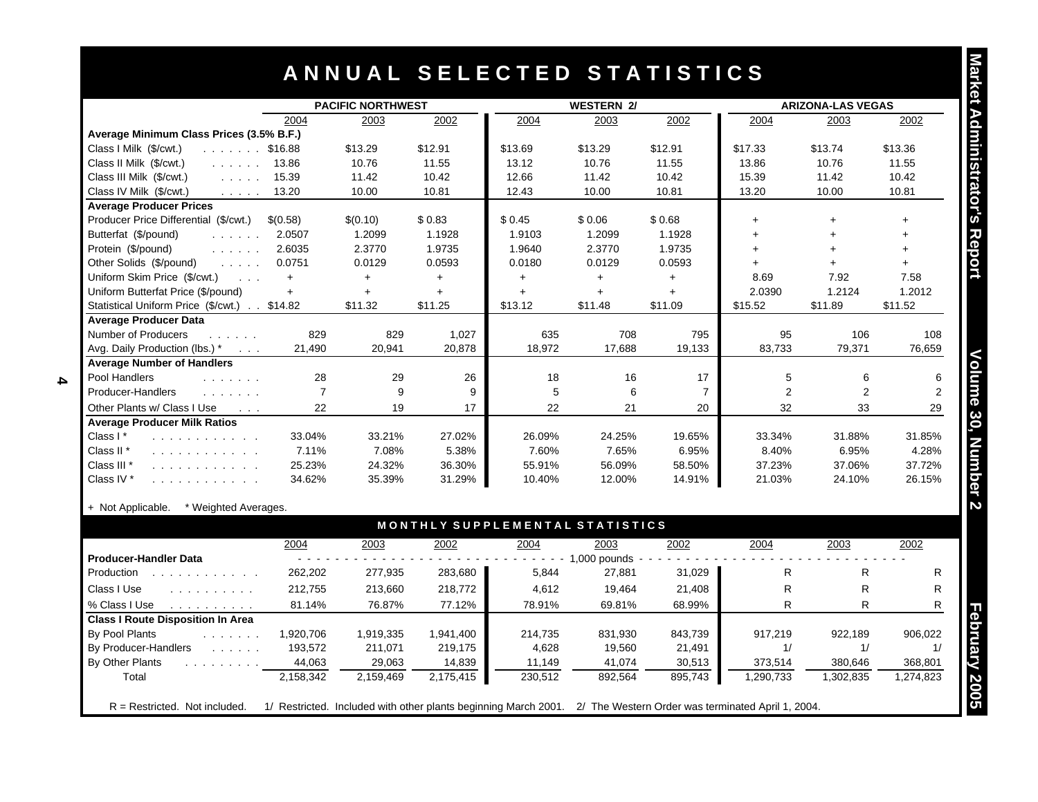## **A N N U A L S E L E C T E D S T A T I S T I C S**

|                                                                                                                                                                                                                                |                | <b>PACIFIC NORTHWEST</b> |           |                                 | <b>WESTERN 2/</b> |                | <b>ARIZONA-LAS VEGAS</b> |                |           |  |
|--------------------------------------------------------------------------------------------------------------------------------------------------------------------------------------------------------------------------------|----------------|--------------------------|-----------|---------------------------------|-------------------|----------------|--------------------------|----------------|-----------|--|
|                                                                                                                                                                                                                                | 2004           | 2003                     | 2002      | 2004                            | 2003              | 2002           | 2004                     | 2003           | 2002      |  |
| Average Minimum Class Prices (3.5% B.F.)                                                                                                                                                                                       |                |                          |           |                                 |                   |                |                          |                |           |  |
| Class I Milk (\$/cwt.)<br>$\ldots$ \$16.88                                                                                                                                                                                     |                | \$13.29                  | \$12.91   | \$13.69                         | \$13.29           | \$12.91        | \$17.33                  | \$13.74        | \$13.36   |  |
| Class II Milk (\$/cwt.)<br>$\ldots \ldots 13.86$                                                                                                                                                                               |                | 10.76                    | 11.55     | 13.12                           | 10.76             | 11.55          | 13.86                    | 10.76          | 11.55     |  |
| Class III Milk (\$/cwt.)                                                                                                                                                                                                       | 15.39          | 11.42                    | 10.42     | 12.66                           | 11.42             | 10.42          | 15.39                    | 11.42          | 10.42     |  |
| Class IV Milk (\$/cwt.)<br>and a state                                                                                                                                                                                         | 13.20          | 10.00                    | 10.81     | 12.43                           | 10.00             | 10.81          | 13.20                    | 10.00          | 10.81     |  |
| <b>Average Producer Prices</b>                                                                                                                                                                                                 |                |                          |           |                                 |                   |                |                          |                |           |  |
| Producer Price Differential (\$/cwt.)                                                                                                                                                                                          | \$(0.58)       | \$(0.10)                 | \$0.83    | \$0.45                          | \$0.06            | \$0.68         | $+$                      |                |           |  |
| Butterfat (\$/pound)<br>and a straight                                                                                                                                                                                         | 2.0507         | 1.2099                   | 1.1928    | 1.9103                          | 1.2099            | 1.1928         | $+$                      |                |           |  |
| Protein (\$/pound)<br>and a state of                                                                                                                                                                                           | 2.6035         | 2.3770                   | 1.9735    | 1.9640                          | 2.3770            | 1.9735         | $+$                      |                |           |  |
| Other Solids (\$/pound)<br>$\mathcal{L}^{\mathcal{A}}$ and $\mathcal{L}^{\mathcal{A}}$ and $\mathcal{L}^{\mathcal{A}}$                                                                                                         | 0.0751         | 0.0129                   | 0.0593    | 0.0180                          | 0.0129            | 0.0593         | $+$                      | $+$            | $+$       |  |
| Uniform Skim Price (\$/cwt.)<br>$\cdots$                                                                                                                                                                                       | $+$            | $+$                      | $+$       | $+$                             | $\ddot{}$         | $\ddot{}$      | 8.69                     | 7.92           | 7.58      |  |
| Uniform Butterfat Price (\$/pound)                                                                                                                                                                                             | $+$            | $+$                      | $+$       | $+$                             | $\ddot{}$         | $\ddot{}$      | 2.0390                   | 1.2124         | 1.2012    |  |
| Statistical Uniform Price (\$/cwt.) \$14.82                                                                                                                                                                                    |                | \$11.32                  | \$11.25   | \$13.12                         | \$11.48           | \$11.09        | \$15.52                  | \$11.89        | \$11.52   |  |
| <b>Average Producer Data</b>                                                                                                                                                                                                   |                |                          |           |                                 |                   |                |                          |                |           |  |
| Number of Producers<br>$\mathcal{L}^{\mathcal{A}}$ . The set of the $\mathcal{A}$                                                                                                                                              | 829            | 829                      | 1,027     | 635                             | 708               | 795            | 95                       | 106            | 108       |  |
| Avg. Daily Production (lbs.) *                                                                                                                                                                                                 | 21,490         | 20,941                   | 20,878    | 18,972                          | 17,688            | 19,133         | 83,733                   | 79,371         | 76,659    |  |
| <b>Average Number of Handlers</b>                                                                                                                                                                                              |                |                          |           |                                 |                   |                |                          |                |           |  |
| Pool Handlers<br>and a straight and                                                                                                                                                                                            | 28             | 29                       | 26        | 18                              | 16                | 17             | 5                        | 6              | 6         |  |
| Producer-Handlers                                                                                                                                                                                                              | $\overline{7}$ | 9                        | 9         | 5                               | 6                 | $\overline{7}$ | 2                        | $\overline{2}$ | 2         |  |
| Other Plants w/ Class I Use<br>$\sim$ $\sim$ $\sim$                                                                                                                                                                            | 22             | 19                       | 17        | 22                              | 21                | 20             | 32                       | 33             | 29        |  |
| <b>Average Producer Milk Ratios</b>                                                                                                                                                                                            |                |                          |           |                                 |                   |                |                          |                |           |  |
| Class I*<br>.                                                                                                                                                                                                                  | 33.04%         | 33.21%                   | 27.02%    | 26.09%                          | 24.25%            | 19.65%         | 33.34%                   | 31.88%         | 31.85%    |  |
| Class II <sup>*</sup><br>.                                                                                                                                                                                                     | 7.11%          | 7.08%                    | 5.38%     | 7.60%                           | 7.65%             | 6.95%          | 8.40%                    | 6.95%          | 4.28%     |  |
| Class III <sup>*</sup><br>.                                                                                                                                                                                                    | 25.23%         | 24.32%                   | 36.30%    | 55.91%                          | 56.09%            | 58.50%         | 37.23%                   | 37.06%         | 37.72%    |  |
| Class IV *<br>.                                                                                                                                                                                                                | 34.62%         | 35.39%                   | 31.29%    | 10.40%                          | 12.00%            | 14.91%         | 21.03%                   | 24.10%         | 26.15%    |  |
|                                                                                                                                                                                                                                |                |                          |           |                                 |                   |                |                          |                |           |  |
| + Not Applicable.<br>* Weighted Averages.                                                                                                                                                                                      |                |                          |           |                                 |                   |                |                          |                |           |  |
|                                                                                                                                                                                                                                |                |                          |           | MONTHLY SUPPLEMENTAL STATISTICS |                   |                |                          |                |           |  |
|                                                                                                                                                                                                                                |                |                          |           |                                 |                   |                |                          |                |           |  |
| <b>Producer-Handler Data</b>                                                                                                                                                                                                   | 2004           | 2003                     | 2002      | 2004                            | 2003              | 2002           | 2004                     | 2003           | 2002      |  |
| Production                                                                                                                                                                                                                     |                |                          |           |                                 | $- 1,000$ pounds  |                | R.                       |                | R         |  |
| and the company of the company of the company of the company of the company of the company of the company of the company of the company of the company of the company of the company of the company of the company of the comp | 262,202        | 277,935                  | 283,680   | 5,844                           | 27,881            | 31,029         |                          | R              |           |  |
| Class I Use<br>.                                                                                                                                                                                                               | 212,755        | 213,660                  | 218,772   | 4,612                           | 19,464            | 21,408         | R.                       | R              | R.        |  |
| % Class I Use<br>and a straightful control of                                                                                                                                                                                  | 81.14%         | 76.87%                   | 77.12%    | 78.91%                          | 69.81%            | 68.99%         | R                        | R.             | R.        |  |
| <b>Class I Route Disposition In Area</b>                                                                                                                                                                                       |                |                          |           |                                 |                   |                |                          |                |           |  |
| By Pool Plants<br>and a straight                                                                                                                                                                                               | 1,920,706      | 1,919,335                | 1,941,400 | 214,735                         | 831,930           | 843,739        | 917,219                  | 922,189        | 906,022   |  |
| By Producer-Handlers<br>and the company of the company                                                                                                                                                                         | 193,572        | 211,071                  | 219,175   | 4,628                           | 19,560            | 21,491         | 1/                       | 1/             | 1/        |  |
| By Other Plants<br>and the state of the state                                                                                                                                                                                  | 44,063         | 29,063                   | 14,839    | 11,149                          | 41,074            | 30,513         | 373,514                  | 380,646        | 368,801   |  |
| Total                                                                                                                                                                                                                          | 2,158,342      | 2,159,469                | 2,175,415 | 230,512                         | 892,564           | 895,743        | 1,290,733                | 1,302,835      | 1,274,823 |  |

### + Not Applicable. \* Weighted Averages.

**4**

|                                                                               | 2004      | 2003      | 2002      | 2004    | 2003         | 2002    | 2004                                                                                                               | 2003     | 2002      |
|-------------------------------------------------------------------------------|-----------|-----------|-----------|---------|--------------|---------|--------------------------------------------------------------------------------------------------------------------|----------|-----------|
| <b>Producer-Handler Data</b>                                                  |           |           |           |         | 1,000 pounds |         |                                                                                                                    |          |           |
| Production                                                                    | 262,202   | 277,935   | 283,680   | 5,844   | 27,881       | 31,029  | R                                                                                                                  | R        |           |
| Class I Use<br>.                                                              | 212,755   | 213,660   | 218,772   | 4,612   | 19,464       | 21,408  | R                                                                                                                  | R        |           |
| % Class I Use<br>the property of the property of the                          | 81.14%    | 76.87%    | 77.12%    | 78.91%  | 69.81%       | 68.99%  | R                                                                                                                  | R        |           |
| <b>Class I Route Disposition In Area</b>                                      |           |           |           |         |              |         |                                                                                                                    |          |           |
| By Pool Plants<br>and a series of the con-                                    | 1,920,706 | 1,919,335 | 1,941,400 | 214.735 | 831,930      | 843,739 | 917.219                                                                                                            | 922.189  | 906.022   |
| By Producer-Handlers<br>$\mathcal{L}$ , and $\mathcal{L}$ , and $\mathcal{L}$ | 193.572   | 211.071   | 219,175   | 4,628   | 19.560       | 21,491  | 1/                                                                                                                 |          |           |
| By Other Plants<br>and a straight and a straight                              | 44,063    | 29,063    | 14,839    | 11,149  | 41,074       | 30,513  | 373,514                                                                                                            | 380,646  | 368,801   |
| Total                                                                         | 2,158,342 | 2,159,469 | 2,175,415 | 230,512 | 892,564      | 895,743 | 1,290,733                                                                                                          | ,302,835 | 1,274,823 |
|                                                                               |           |           |           |         |              |         |                                                                                                                    |          |           |
| $R =$ Restricted. Not included.                                               |           |           |           |         |              |         | 1/ Restricted. Included with other plants beginning March 2001. 2/ The Western Order was terminated April 1, 2004. |          |           |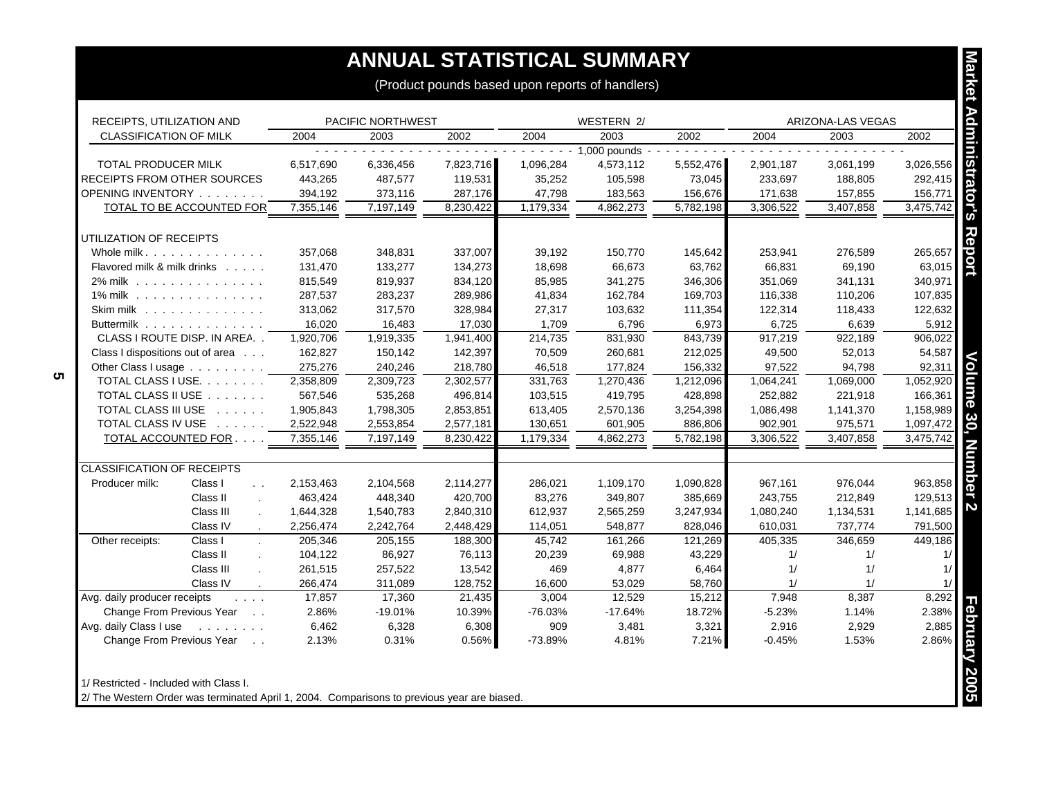## **ANNUAL STATISTICAL SUMMARY**

| RECEIPTS, UTILIZATION AND                    |           | PACIFIC NORTHWEST |           |           | WESTERN 2/           |           |           | ARIZONA-LAS VEGAS |           |
|----------------------------------------------|-----------|-------------------|-----------|-----------|----------------------|-----------|-----------|-------------------|-----------|
| <b>CLASSIFICATION OF MILK</b>                | 2004      | 2003              | 2002      | 2004      | 2003                 | 2002      | 2004      | 2003              | 2002      |
|                                              |           |                   |           |           | $- - - 1,000$ pounds |           |           |                   |           |
| <b>TOTAL PRODUCER MILK</b>                   | 6,517,690 | 6,336,456         | 7,823,716 | 1,096,284 | 4,573,112            | 5,552,476 | 2,901,187 | 3,061,199         | 3,026,556 |
| RECEIPTS FROM OTHER SOURCES                  | 443,265   | 487,577           | 119,531   | 35,252    | 105,598              | 73,045    | 233,697   | 188,805           | 292,415   |
| OPENING INVENTORY                            | 394,192   | 373,116           | 287,176   | 47,798    | 183,563              | 156,676   | 171,638   | 157,855           | 156,771   |
| TOTAL TO BE ACCOUNTED FOR                    | 7,355,146 | 7,197,149         | 8,230,422 | 1,179,334 | 4,862,273            | 5,782,198 | 3,306,522 | 3,407,858         | 3,475,742 |
| UTILIZATION OF RECEIPTS                      |           |                   |           |           |                      |           |           |                   |           |
| Whole milk                                   | 357,068   | 348,831           | 337,007   | 39,192    | 150,770              | 145,642   | 253,941   | 276,589           | 265,657   |
| Flavored milk & milk drinks                  | 131,470   | 133,277           | 134,273   | 18,698    | 66,673               | 63,762    | 66,831    | 69,190            | 63,015    |
| 2% milk                                      | 815,549   | 819,937           | 834,120   | 85,985    | 341,275              | 346,306   | 351,069   | 341,131           | 340,971   |
| 1% milk                                      | 287,537   | 283,237           | 289,986   | 41,834    | 162,784              | 169,703   | 116,338   | 110,206           | 107,835   |
| Skim milk                                    | 313,062   | 317,570           | 328,984   | 27,317    | 103,632              | 111,354   | 122,314   | 118,433           | 122,632   |
| Buttermilk                                   | 16,020    | 16,483            | 17,030    | 1,709     | 6,796                | 6,973     | 6,725     | 6,639             | 5,912     |
| CLASS I ROUTE DISP. IN AREA                  | 1,920,706 | 1,919,335         | 1,941,400 | 214,735   | 831,930              | 843,739   | 917,219   | 922,189           | 906,022   |
| Class I dispositions out of area             | 162,827   | 150,142           | 142,397   | 70,509    | 260,681              | 212,025   | 49,500    | 52,013            | 54,587    |
| Other Class I usage                          | 275,276   | 240,246           | 218,780   | 46,518    | 177,824              | 156,332   | 97,522    | 94,798            | 92,311    |
| TOTAL CLASS I USE.                           | 2,358,809 | 2,309,723         | 2,302,577 | 331,763   | 1,270,436            | 1,212,096 | 1,064,241 | 1,069,000         | 1,052,920 |
| TOTAL CLASS II USE                           | 567.546   | 535,268           | 496,814   | 103.515   | 419.795              | 428,898   | 252.882   | 221,918           | 166,361   |
| TOTAL CLASS III USE                          | 1,905,843 | 1,798,305         | 2,853,851 | 613,405   | 2,570,136            | 3,254,398 | 1,086,498 | 1,141,370         | 1,158,989 |
| TOTAL CLASS IV USE                           | 2,522,948 | 2,553,854         | 2,577,181 | 130,651   | 601,905              | 886,806   | 902,901   | 975,571           | 1,097,472 |
| TOTAL ACCOUNTED FOR                          | 7,355,146 | 7,197,149         | 8,230,422 | 1,179,334 | 4,862,273            | 5,782,198 | 3,306,522 | 3,407,858         | 3,475,742 |
|                                              |           |                   |           |           |                      |           |           |                   |           |
| <b>CLASSIFICATION OF RECEIPTS</b>            |           |                   |           |           |                      |           |           |                   |           |
| Class I<br>Producer milk:<br>$\ddotsc$       | 2,153,463 | 2,104,568         | 2,114,277 | 286,021   | 1,109,170            | 1,090,828 | 967,161   | 976,044           | 963,858   |
| Class II<br>$\overline{a}$                   | 463,424   | 448,340           | 420,700   | 83,276    | 349,807              | 385,669   | 243,755   | 212,849           | 129,513   |
| Class III                                    | 1,644,328 | 1,540,783         | 2,840,310 | 612,937   | 2,565,259            | 3,247,934 | 1,080,240 | 1,134,531         | 1,141,685 |
| Class IV                                     | 2,256,474 | 2,242,764         | 2,448,429 | 114,051   | 548,877              | 828,046   | 610,031   | 737,774           | 791,500   |
| Other receipts:<br>Class I                   | 205,346   | 205,155           | 188,300   | 45,742    | 161,266              | 121,269   | 405,335   | 346,659           | 449,186   |
| Class II                                     | 104,122   | 86,927            | 76,113    | 20,239    | 69,988               | 43,229    | 1/        | 1/                | 1/        |
| Class III                                    | 261,515   | 257,522           | 13,542    | 469       | 4,877                | 6,464     | 1/        | 1/                | 1/        |
| Class IV                                     | 266,474   | 311,089           | 128,752   | 16,600    | 53,029               | 58,760    | 1/        | 1/                | 1/        |
| Avg. daily producer receipts<br>$\cdots$     | 17,857    | 17,360            | 21,435    | 3,004     | 12,529               | 15,212    | 7,948     | 8,387             | 8,292     |
| Change From Previous Year<br>$\sim$ $\sim$   | 2.86%     | $-19.01%$         | 10.39%    | $-76.03%$ | $-17.64%$            | 18.72%    | $-5.23%$  | 1.14%             | 2.38%     |
| Avg. daily Class I use<br>and a straight and | 6,462     | 6,328             | 6,308     | 909       | 3,481                | 3,321     | 2,916     | 2,929             | 2,885     |
| Change From Previous Year<br>$\sim$          | 2.13%     | 0.31%             | 0.56%     | $-73.89%$ | 4.81%                | 7.21%     | $-0.45%$  | 1.53%             | 2.86%     |

2/ The Western Order was terminated April 1, 2004. Comparisons to previous year are biased.

**5**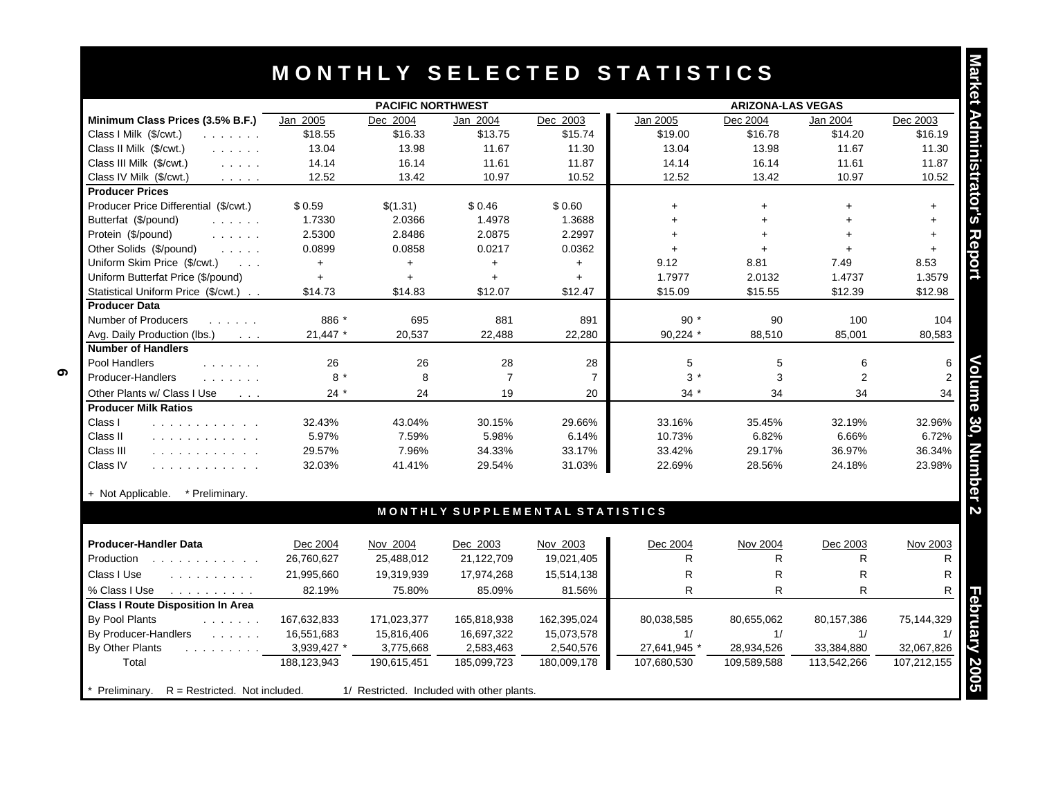|                                                                                                                                         |             | <b>PACIFIC NORTHWEST</b> |                |                                 | <b>ARIZONA-LAS VEGAS</b> |             |                |             |  |
|-----------------------------------------------------------------------------------------------------------------------------------------|-------------|--------------------------|----------------|---------------------------------|--------------------------|-------------|----------------|-------------|--|
| Minimum Class Prices (3.5% B.F.)                                                                                                        | Jan 2005    | Dec 2004                 | Jan 2004       | Dec 2003                        | Jan 2005                 | Dec 2004    | Jan 2004       | Dec 2003    |  |
| Class I Milk (\$/cwt.)<br>a a shekarar a                                                                                                | \$18.55     | \$16.33                  | \$13.75        | \$15.74                         | \$19.00                  | \$16.78     | \$14.20        | \$16.19     |  |
| Class II Milk (\$/cwt.)                                                                                                                 | 13.04       | 13.98                    | 11.67          | 11.30                           | 13.04                    | 13.98       | 11.67          | 11.30       |  |
| Class III Milk (\$/cwt.)<br>$\mathcal{L}$ , and $\mathcal{L}$ , and                                                                     | 14.14       | 16.14                    | 11.61          | 11.87                           | 14.14                    | 16.14       | 11.61          | 11.87       |  |
| Class IV Milk (\$/cwt.)<br>$\sim$ $\sim$ $\sim$ $\sim$ $\sim$                                                                           | 12.52       | 13.42                    | 10.97          | 10.52                           | 12.52                    | 13.42       | 10.97          | 10.52       |  |
| <b>Producer Prices</b>                                                                                                                  |             |                          |                |                                 |                          |             |                |             |  |
| Producer Price Differential (\$/cwt.)                                                                                                   | \$0.59      | \$(1.31)                 | \$0.46         | \$0.60                          | $+$                      | $+$         | $+$            | $+$         |  |
| Butterfat (\$/pound)<br>and a straight                                                                                                  | 1.7330      | 2.0366                   | 1.4978         | 1.3688                          | $+$                      | $+$         |                | $+$         |  |
| Protein (\$/pound)<br>and a straight                                                                                                    | 2.5300      | 2.8486                   | 2.0875         | 2.2997                          | $+$                      | $+$         | $+$            | $+$         |  |
| Other Solids (\$/pound)<br>and a state                                                                                                  | 0.0899      | 0.0858                   | 0.0217         | 0.0362                          | $+$                      | $+$         | $\ddot{}$      | $+$         |  |
| Uniform Skim Price (\$/cwt.)<br>$\sim$ $\sim$ $\sim$                                                                                    | $+$         | $\ddot{}$                | $+$            | $+$                             | 9.12                     | 8.81        | 7.49           | 8.53        |  |
| Uniform Butterfat Price (\$/pound)                                                                                                      | $+$         | $+$                      | $+$            | $+$                             | 1.7977                   | 2.0132      | 1.4737         | 1.3579      |  |
| Statistical Uniform Price (\$/cwt.)                                                                                                     | \$14.73     | \$14.83                  | \$12.07        | \$12.47                         | \$15.09                  | \$15.55     | \$12.39        | \$12.98     |  |
| <b>Producer Data</b>                                                                                                                    |             |                          |                |                                 |                          |             |                |             |  |
| <b>Number of Producers</b><br>.                                                                                                         | 886 *       | 695                      | 881            | 891                             | $90*$                    | 90          | 100            | 104         |  |
| Avg. Daily Production (lbs.)<br>$\sim 100$ km s $^{-1}$                                                                                 | 21,447 *    | 20,537                   | 22,488         | 22,280                          | 90,224 *                 | 88,510      | 85,001         | 80,583      |  |
| <b>Number of Handlers</b>                                                                                                               |             |                          |                |                                 |                          |             |                |             |  |
| Pool Handlers<br>.                                                                                                                      | 26          | 26                       | 28             | 28                              | 5                        | 5           | 6              |             |  |
| Producer-Handlers<br>and a straight and                                                                                                 | $8*$        | 8                        | $\overline{7}$ | $\overline{7}$                  | $3*$                     | 3           | $\overline{2}$ |             |  |
| Other Plants w/ Class I Use<br>$\sim$ $\sim$ $\sim$                                                                                     | $24 *$      | 24                       | 19             | 20                              | $34 *$                   | 34          | 34             | 34          |  |
| <b>Producer Milk Ratios</b>                                                                                                             |             |                          |                |                                 |                          |             |                |             |  |
| Class I<br>and a straightful and a straight                                                                                             | 32.43%      | 43.04%                   | 30.15%         | 29.66%                          | 33.16%                   | 35.45%      | 32.19%         | 32.96%      |  |
| Class II<br>.                                                                                                                           | 5.97%       | 7.59%                    | 5.98%          | 6.14%                           | 10.73%                   | 6.82%       | 6.66%          | 6.72%       |  |
| Class III<br>.                                                                                                                          | 29.57%      | 7.96%                    | 34.33%         | 33.17%                          | 33.42%                   | 29.17%      | 36.97%         | 36.34%      |  |
| Class IV<br>.                                                                                                                           | 32.03%      | 41.41%                   | 29.54%         | 31.03%                          | 22.69%                   | 28.56%      | 24.18%         | 23.98%      |  |
| + Not Applicable.<br>* Preliminary.                                                                                                     |             |                          |                |                                 |                          |             |                |             |  |
|                                                                                                                                         |             |                          |                | MONTHLY SUPPLEMENTAL STATISTICS |                          |             |                |             |  |
| <b>Producer-Handler Data</b>                                                                                                            | Dec 2004    | Nov 2004                 | Dec 2003       | Nov 2003                        | Dec 2004                 | Nov 2004    | Dec 2003       | Nov 2003    |  |
| Production                                                                                                                              | 26,760,627  | 25,488,012               | 21,122,709     | 19,021,405                      | R                        | R           | R              | R           |  |
| Class I Use<br>and a contract and a                                                                                                     | 21,995,660  | 19,319,939               | 17,974,268     | 15,514,138                      | R                        | R           | R              | R           |  |
| % Class I Use<br>and a straight and a straight                                                                                          | 82.19%      | 75.80%                   | 85.09%         | 81.56%                          | R                        | R.          | R              |             |  |
| <b>Class I Route Disposition In Area</b>                                                                                                |             |                          |                |                                 |                          |             |                |             |  |
| By Pool Plants<br>$\mathcal{L}^{\mathcal{A}}$ , $\mathcal{L}^{\mathcal{A}}$ , $\mathcal{L}^{\mathcal{A}}$ , $\mathcal{L}^{\mathcal{A}}$ | 167,632,833 | 171,023,377              | 165,818,938    | 162,395,024                     | 80,038,585               | 80,655,062  | 80,157,386     | 75,144,329  |  |
| By Producer-Handlers<br><b>Contract Contract</b>                                                                                        | 16,551,683  | 15,816,406               | 16,697,322     | 15,073,578                      | 1/                       | 1/          | 1/             | 1/          |  |
| By Other Plants<br>and a series and a series                                                                                            | 3,939,427 * | 3,775,668                | 2,583,463      | 2,540,576                       | 27,641,945 *             | 28,934,526  | 33,384,880     | 32,067,826  |  |
| Total                                                                                                                                   | 188,123,943 | 190,615,451              | 185,099,723    | 180,009,178                     | 107,680,530              | 109,589,588 | 113,542,266    | 107,212,155 |  |

|             |                                               | Dec 2003    | Nov 2003    | Dec 2004                                   | Nov 2004    | Dec 2003    | Nov 2003    |
|-------------|-----------------------------------------------|-------------|-------------|--------------------------------------------|-------------|-------------|-------------|
|             | 25,488,012                                    | 21,122,709  | 19,021,405  | R                                          | R           |             |             |
| 21,995,660  | 19,319,939                                    | 17,974,268  | 15,514,138  | R.                                         | R           | R           |             |
| 82.19%      | 75.80%                                        | 85.09%      | 81.56%      | R                                          | R           | R           | R           |
|             |                                               |             |             |                                            |             |             |             |
| 167,632,833 | 171,023,377                                   | 165,818,938 | 162,395,024 | 80,038,585                                 | 80,655,062  | 80,157,386  | 75,144,329  |
| 16,551,683  | 15,816,406                                    | 16,697,322  | 15,073,578  |                                            |             |             |             |
| 3,939,427 * | 3,775,668                                     | 2,583,463   | 2,540,576   | 27,641,945 *                               | 28,934,526  | 33,384,880  | 32,067,826  |
| 188,123,943 | 190,615,451                                   | 185,099,723 | 180,009,178 | 107,680,530                                | 109,589,588 | 113,542,266 | 107,212,155 |
|             |                                               |             |             |                                            |             |             |             |
|             | 26,760,627<br>$R =$ Restricted. Not included. |             |             | 1/ Restricted. Included with other plants. |             |             |             |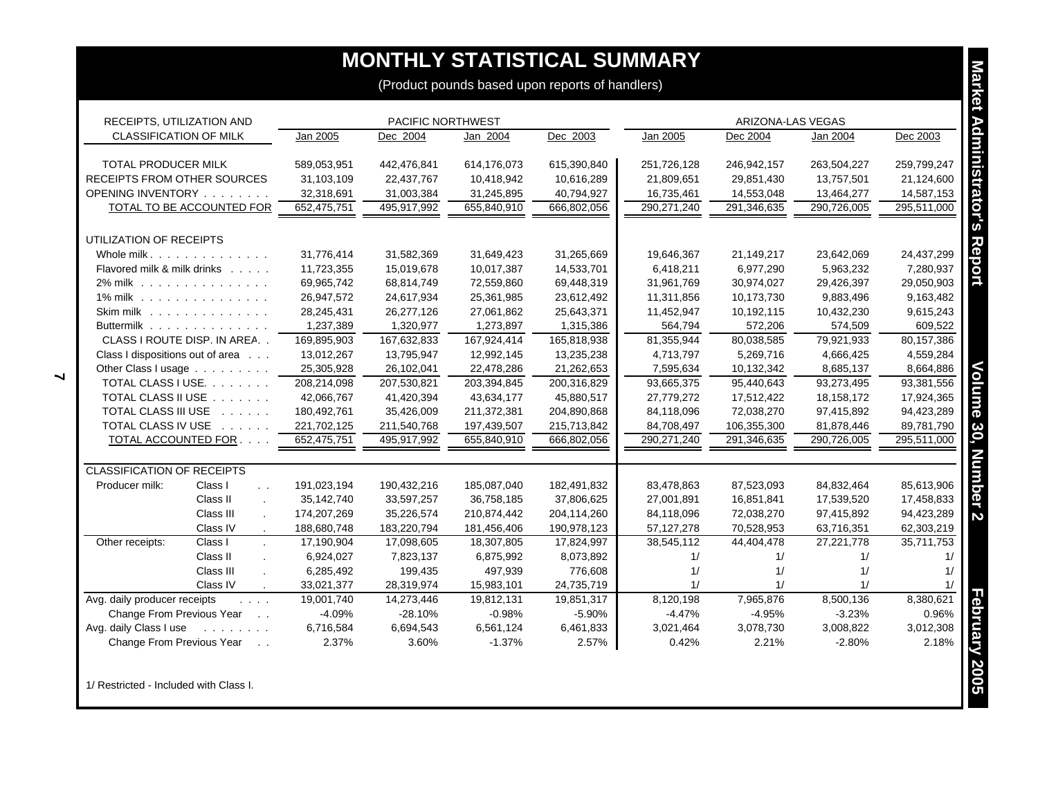## **MONTHLY STATISTICAL SUMMARY**

| RECEIPTS, UTILIZATION AND         |                                                     |             | <b>PACIFIC NORTHWEST</b> |             |             |              | ARIZONA-LAS VEGAS |             |             |
|-----------------------------------|-----------------------------------------------------|-------------|--------------------------|-------------|-------------|--------------|-------------------|-------------|-------------|
| <b>CLASSIFICATION OF MILK</b>     |                                                     | Jan 2005    | Dec 2004                 | Jan 2004    | Dec 2003    | Jan 2005     | Dec 2004          | Jan 2004    | Dec 2003    |
| <b>TOTAL PRODUCER MILK</b>        |                                                     | 589,053,951 | 442,476,841              | 614,176,073 | 615,390,840 | 251,726,128  | 246,942,157       | 263,504,227 | 259,799,247 |
| RECEIPTS FROM OTHER SOURCES       |                                                     | 31,103,109  | 22,437,767               | 10,418,942  | 10,616,289  | 21,809,651   | 29,851,430        | 13,757,501  | 21,124,600  |
| OPENING INVENTORY                 |                                                     | 32,318,691  | 31,003,384               | 31,245,895  | 40,794,927  | 16,735,461   | 14,553,048        | 13,464,277  | 14,587,153  |
| <b>TOTAL TO BE ACCOUNTED FOR</b>  |                                                     | 652,475,751 | 495,917,992              | 655,840,910 | 666,802,056 | 290,271,240  | 291,346,635       | 290,726,005 | 295,511,000 |
| UTILIZATION OF RECEIPTS           |                                                     |             |                          |             |             |              |                   |             |             |
| Whole milk.                       |                                                     | 31,776,414  | 31,582,369               | 31,649,423  | 31,265,669  | 19,646,367   | 21,149,217        | 23,642,069  | 24,437,299  |
| Flavored milk & milk drinks       |                                                     | 11,723,355  | 15,019,678               | 10,017,387  | 14,533,701  | 6,418,211    | 6,977,290         | 5,963,232   | 7,280,937   |
| 2% milk                           |                                                     | 69,965,742  | 68,814,749               | 72,559,860  | 69,448,319  | 31,961,769   | 30,974,027        | 29,426,397  | 29,050,903  |
| 1% milk                           |                                                     | 26,947,572  | 24,617,934               | 25,361,985  | 23,612,492  | 11,311,856   | 10,173,730        | 9,883,496   | 9,163,482   |
| Skim milk $\ldots$                |                                                     | 28,245,431  | 26,277,126               | 27,061,862  | 25,643,371  | 11,452,947   | 10,192,115        | 10,432,230  | 9,615,243   |
| Buttermilk                        |                                                     | 1,237,389   | 1,320,977                | 1,273,897   | 1,315,386   | 564,794      | 572,206           | 574,509     | 609,522     |
| CLASS I ROUTE DISP. IN AREA       |                                                     | 169,895,903 | 167,632,833              | 167,924,414 | 165,818,938 | 81,355,944   | 80,038,585        | 79,921,933  | 80,157,386  |
| Class I dispositions out of area  |                                                     | 13,012,267  | 13,795,947               | 12,992,145  | 13,235,238  | 4,713,797    | 5,269,716         | 4,666,425   | 4,559,284   |
| Other Class I usage               |                                                     | 25,305,928  | 26,102,041               | 22,478,286  | 21,262,653  | 7,595,634    | 10,132,342        | 8,685,137   | 8,664,886   |
| TOTAL CLASS I USE.                |                                                     | 208,214,098 | 207,530,821              | 203,394,845 | 200,316,829 | 93,665,375   | 95,440,643        | 93,273,495  | 93,381,556  |
| TOTAL CLASS II USE                |                                                     | 42,066,767  | 41,420,394               | 43,634,177  | 45,880,517  | 27,779,272   | 17,512,422        | 18,158,172  | 17,924,365  |
| TOTAL CLASS III USE               |                                                     | 180,492,761 | 35,426,009               | 211,372,381 | 204,890,868 | 84,118,096   | 72,038,270        | 97,415,892  | 94,423,289  |
| TOTAL CLASS IV USE                |                                                     | 221,702,125 | 211,540,768              | 197,439,507 | 215,713,842 | 84,708,497   | 106,355,300       | 81,878,446  | 89,781,790  |
| TOTAL ACCOUNTED FOR               |                                                     | 652,475,751 | 495,917,992              | 655,840,910 | 666,802,056 | 290,271,240  | 291,346,635       | 290,726,005 | 295,511,000 |
| <b>CLASSIFICATION OF RECEIPTS</b> |                                                     |             |                          |             |             |              |                   |             |             |
| Class I<br>Producer milk:         | $\ddot{\phantom{a}}$                                | 191,023,194 | 190,432,216              | 185,087,040 | 182,491,832 | 83,478,863   | 87,523,093        | 84,832,464  | 85,613,906  |
| Class II                          | $\mathbf{r}$                                        | 35,142,740  | 33,597,257               | 36,758,185  | 37,806,625  | 27,001,891   | 16,851,841        | 17,539,520  | 17,458,833  |
| Class III                         |                                                     | 174,207,269 | 35,226,574               | 210,874,442 | 204,114,260 | 84,118,096   | 72,038,270        | 97,415,892  | 94,423,289  |
| Class IV                          |                                                     | 188,680,748 | 183,220,794              | 181,456,406 | 190,978,123 | 57, 127, 278 | 70,528,953        | 63,716,351  | 62,303,219  |
| Other receipts:<br>Class I        |                                                     | 17,190,904  | 17,098,605               | 18,307,805  | 17,824,997  | 38,545,112   | 44,404,478        | 27,221,778  | 35,711,753  |
| Class II                          |                                                     | 6,924,027   | 7,823,137                | 6,875,992   | 8,073,892   | 1/           | 1/                | 1/          | 1/          |
| Class III                         |                                                     | 6,285,492   | 199,435                  | 497,939     | 776,608     | 1/           | 1/                | 1/          | 1/          |
| Class IV                          |                                                     | 33,021,377  | 28,319,974               | 15,983,101  | 24,735,719  | 1/           | 1/                | 1/          | 1/          |
| Avg. daily producer receipts      | $\mathbf{1}$ $\mathbf{1}$ $\mathbf{1}$ $\mathbf{1}$ | 19,001,740  | 14,273,446               | 19,812,131  | 19,851,317  | 8,120,198    | 7,965,876         | 8,500,136   | 8,380,621   |
| Change From Previous Year         |                                                     | $-4.09%$    | $-28.10%$                | $-0.98%$    | $-5.90%$    | $-4.47%$     | $-4.95%$          | $-3.23%$    | 0.96%       |
| Avg. daily Class I use            | and a straight                                      | 6,716,584   | 6,694,543                | 6,561,124   | 6,461,833   | 3,021,464    | 3,078,730         | 3,008,822   | 3,012,308   |
| Change From Previous Year         | $\sim 10$ $\mu$                                     | 2.37%       | 3.60%                    | $-1.37%$    | 2.57%       | 0.42%        | 2.21%             | $-2.80%$    | 2.18%       |